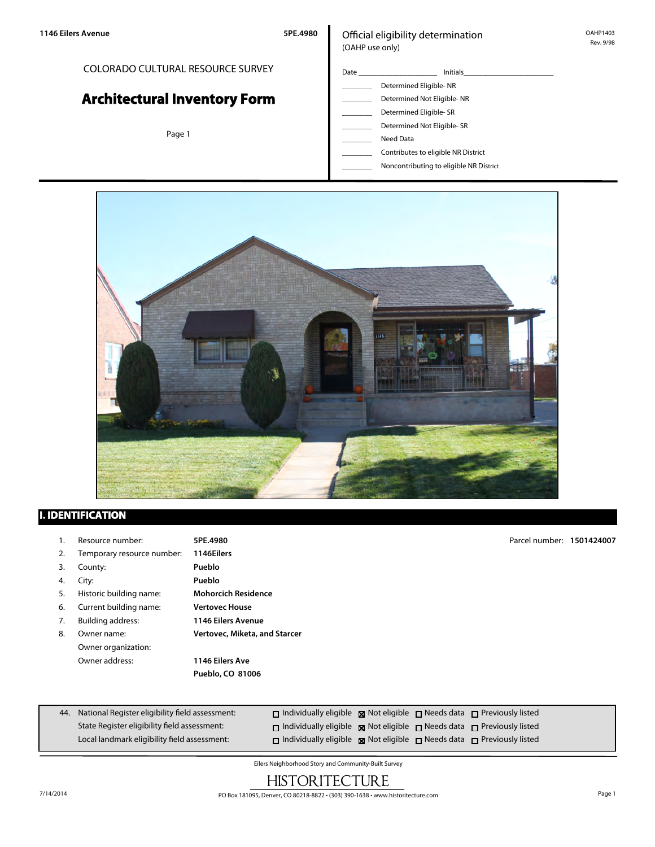### COLORADO CULTURAL RESOURCE SURVEY

# **Architectural Inventory Form**

Page 1

#### Official eligibility determination (OAHP use only)

- Date \_\_\_\_\_\_\_\_\_\_\_\_\_\_\_\_\_\_\_\_\_ Initials\_\_\_\_\_\_\_\_\_\_\_\_\_\_\_\_\_\_\_\_\_\_\_\_ \_\_\_\_\_\_\_\_ Determined Eligible- NR Determined Not Eligible- NR Determined Eligible- SR Determined Not Eligible- SR
	- \_\_\_\_\_\_\_\_ Need Data
	- \_\_\_\_\_\_\_\_ Contributes to eligible NR District
	- \_\_\_\_\_\_\_\_ Noncontributing to eligible NR District



## **I. IDENTIFICATION**

| ι. | Resource number:           | 5PE.4980                      | Parcel number: 1501424007 |  |
|----|----------------------------|-------------------------------|---------------------------|--|
| 2. | Temporary resource number: | 1146Eilers                    |                           |  |
| 3. | County:                    | Pueblo                        |                           |  |
| 4. | City:                      | Pueblo                        |                           |  |
| 5. | Historic building name:    | <b>Mohorcich Residence</b>    |                           |  |
| 6. | Current building name:     | <b>Vertovec House</b>         |                           |  |
| 7. | Building address:          | <b>1146 Eilers Avenue</b>     |                           |  |
| 8. | Owner name:                | Vertovec, Miketa, and Starcer |                           |  |
|    | Owner organization:        |                               |                           |  |
|    | Owner address:             | 1146 Eilers Ave               |                           |  |
|    |                            | Pueblo, CO 81006              |                           |  |

| 44. National Register eligibility field assessment: | $\Box$ Individually eligible $\boxtimes$ Not eligible $\Box$ Needs data $\Box$ Previously listed |  |  |
|-----------------------------------------------------|--------------------------------------------------------------------------------------------------|--|--|
| State Register eligibility field assessment:        | $\Box$ Individually eligible $\boxtimes$ Not eligible $\Box$ Needs data $\Box$ Previously listed |  |  |
| Local landmark eligibility field assessment:        | $\Box$ Individually eligible $\boxtimes$ Not eligible $\Box$ Needs data $\Box$ Previously listed |  |  |

Eilers Neighborhood Story and Community-Built Survey

# **HISTORITECTURE**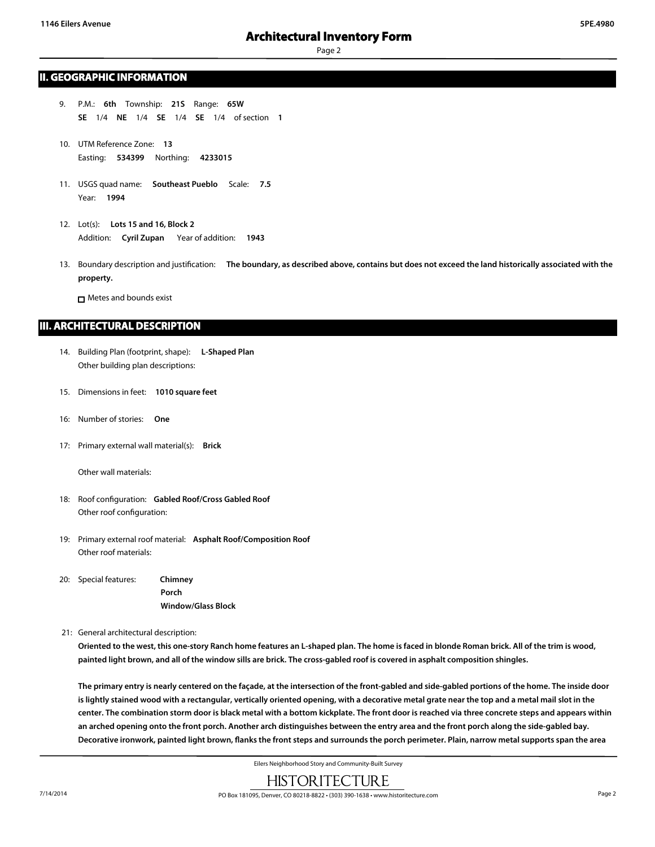#### **II. GEOGRAPHIC INFORMATION**

- 9. P.M.: **6th** Township: **21S** Range: **65W SE** 1/4 **NE** 1/4 **SE** 1/4 **SE** 1/4 of section **1**
- 10. UTM Reference Zone: **13** Easting: **534399** Northing: **4233015**
- 11. USGS quad name: **Southeast Pueblo** Scale: **7.5** Year: **1994**
- 12. Lot(s): **Lots 15 and 16, Block 2** Addition: **Cyril Zupan** Year of addition: **1943**
- 13. Boundary description and justification: **The boundary, as described above, contains but does not exceed the land historically associated with the property.**

Metes and bounds exist

#### **III. ARCHITECTURAL DESCRIPTION**

- 14. Building Plan (footprint, shape): **L-Shaped Plan** Other building plan descriptions:
- 15. Dimensions in feet: **1010 square feet**
- 16: Number of stories: **One**
- 17: Primary external wall material(s): **Brick**

Other wall materials:

- 18: Roof configuration: **Gabled Roof/Cross Gabled Roof** Other roof configuration:
- 19: Primary external roof material: **Asphalt Roof/Composition Roof** Other roof materials:
- 20: Special features: **Chimney Porch Window/Glass Block**

21: General architectural description:

**Oriented to the west, this one-story Ranch home features an L-shaped plan. The home is faced in blonde Roman brick. All of the trim is wood, painted light brown, and all of the window sills are brick. The cross-gabled roof is covered in asphalt composition shingles.**

**The primary entry is nearly centered on the façade, at the intersection of the front-gabled and side-gabled portions of the home. The inside door is lightly stained wood with a rectangular, vertically oriented opening, with a decorative metal grate near the top and a metal mail slot in the center. The combination storm door is black metal with a bottom kickplate. The front door is reached via three concrete steps and appears within an arched opening onto the front porch. Another arch distinguishes between the entry area and the front porch along the side-gabled bay. Decorative ironwork, painted light brown, flanks the front steps and surrounds the porch perimeter. Plain, narrow metal supports span the area**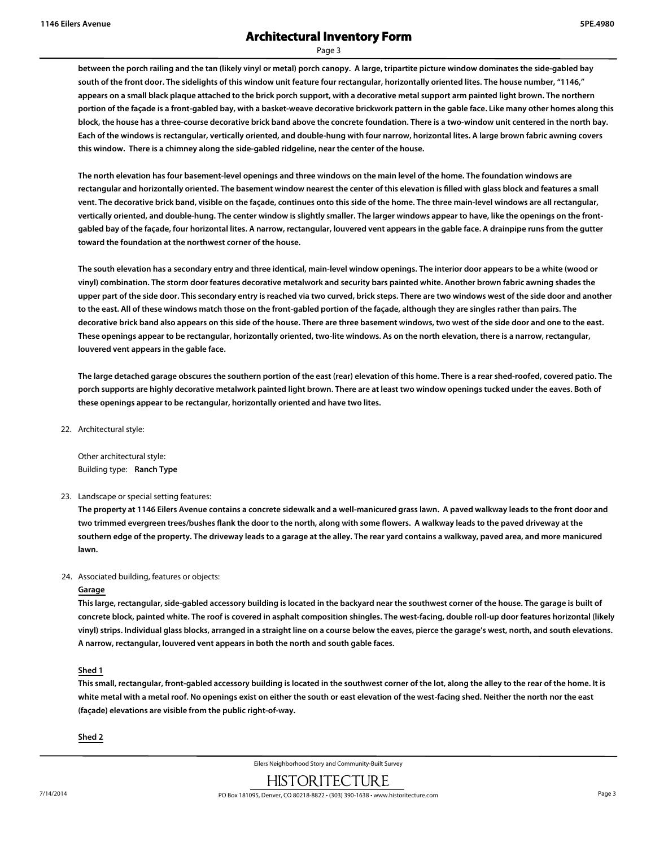# **Architectural Inventory Form**

Page 3

**between the porch railing and the tan (likely vinyl or metal) porch canopy. A large, tripartite picture window dominates the side-gabled bay south of the front door. The sidelights of this window unit feature four rectangular, horizontally oriented lites. The house number, "1146," appears on a small black plaque attached to the brick porch support, with a decorative metal support arm painted light brown. The northern portion of the façade is a front-gabled bay, with a basket-weave decorative brickwork pattern in the gable face. Like many other homes along this block, the house has a three-course decorative brick band above the concrete foundation. There is a two-window unit centered in the north bay. Each of the windows is rectangular, vertically oriented, and double-hung with four narrow, horizontal lites. A large brown fabric awning covers this window. There is a chimney along the side-gabled ridgeline, near the center of the house.**

**The north elevation has four basement-level openings and three windows on the main level of the home. The foundation windows are rectangular and horizontally oriented. The basement window nearest the center of this elevation is filled with glass block and features a small vent. The decorative brick band, visible on the façade, continues onto this side of the home. The three main-level windows are all rectangular, vertically oriented, and double-hung. The center window is slightly smaller. The larger windows appear to have, like the openings on the frontgabled bay of the façade, four horizontal lites. A narrow, rectangular, louvered vent appears in the gable face. A drainpipe runs from the gutter toward the foundation at the northwest corner of the house.**

**The south elevation has a secondary entry and three identical, main-level window openings. The interior door appears to be a white (wood or vinyl) combination. The storm door features decorative metalwork and security bars painted white. Another brown fabric awning shades the upper part of the side door. This secondary entry is reached via two curved, brick steps. There are two windows west of the side door and another to the east. All of these windows match those on the front-gabled portion of the façade, although they are singles rather than pairs. The decorative brick band also appears on this side of the house. There are three basement windows, two west of the side door and one to the east. These openings appear to be rectangular, horizontally oriented, two-lite windows. As on the north elevation, there is a narrow, rectangular, louvered vent appears in the gable face.**

**The large detached garage obscures the southern portion of the east (rear) elevation of this home. There is a rear shed-roofed, covered patio. The porch supports are highly decorative metalwork painted light brown. There are at least two window openings tucked under the eaves. Both of these openings appear to be rectangular, horizontally oriented and have two lites.**

22. Architectural style:

Other architectural style: Building type: **Ranch Type**

23. Landscape or special setting features:

**The property at 1146 Eilers Avenue contains a concrete sidewalk and a well-manicured grass lawn. A paved walkway leads to the front door and two trimmed evergreen trees/bushes flank the door to the north, along with some flowers. A walkway leads to the paved driveway at the southern edge of the property. The driveway leads to a garage at the alley. The rear yard contains a walkway, paved area, and more manicured lawn.**

#### 24. Associated building, features or objects:

#### **Garage**

**This large, rectangular, side-gabled accessory building is located in the backyard near the southwest corner of the house. The garage is built of concrete block, painted white. The roof is covered in asphalt composition shingles. The west-facing, double roll-up door features horizontal (likely vinyl) strips. Individual glass blocks, arranged in a straight line on a course below the eaves, pierce the garage's west, north, and south elevations. A narrow, rectangular, louvered vent appears in both the north and south gable faces.**

#### **Shed 1**

**This small, rectangular, front-gabled accessory building is located in the southwest corner of the lot, along the alley to the rear of the home. It is white metal with a metal roof. No openings exist on either the south or east elevation of the west-facing shed. Neither the north nor the east (façade) elevations are visible from the public right-of-way.**

**Shed 2**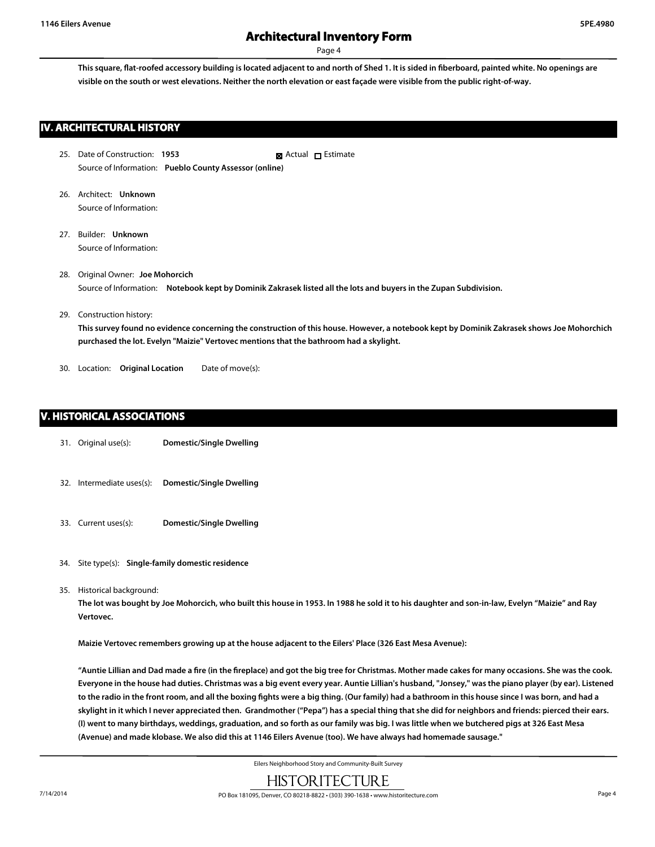**This square, flat-roofed accessory building is located adjacent to and north of Shed 1. It is sided in fiberboard, painted white. No openings are visible on the south or west elevations. Neither the north elevation or east façade were visible from the public right-of-way.**

#### **IV. ARCHITECTURAL HISTORY**

- 25. Date of Construction: **1953** Source of Information: **Pueblo County Assessor (online) R** Actual □ Estimate
- 26. Architect: **Unknown** Source of Information:
- 27. Builder: **Unknown** Source of Information:
- 28. Original Owner: **Joe Mohorcich** Source of Information: **Notebook kept by Dominik Zakrasek listed all the lots and buyers in the Zupan Subdivision.**
- 29. Construction history:

**This survey found no evidence concerning the construction of this house. However, a notebook kept by Dominik Zakrasek shows Joe Mohorchich purchased the lot. Evelyn "Maizie" Vertovec mentions that the bathroom had a skylight.**

30. Location: **Original Location** Date of move(s):

#### **V. HISTORICAL ASSOCIATIONS**

- 31. Original use(s): **Domestic/Single Dwelling**
- 32. Intermediate uses(s): **Domestic/Single Dwelling**
- 33. Current uses(s): **Domestic/Single Dwelling**
- 34. Site type(s): **Single-family domestic residence**
- 35. Historical background:

**The lot was bought by Joe Mohorcich, who built this house in 1953. In 1988 he sold it to his daughter and son-in-law, Evelyn "Maizie" and Ray Vertovec.**

**Maizie Vertovec remembers growing up at the house adjacent to the Eilers' Place (326 East Mesa Avenue):**

**"Auntie Lillian and Dad made a fire (in the fireplace) and got the big tree for Christmas. Mother made cakes for many occasions. She was the cook. Everyone in the house had duties. Christmas was a big event every year. Auntie Lillian's husband, "Jonsey," was the piano player (by ear). Listened to the radio in the front room, and all the boxing fights were a big thing. (Our family) had a bathroom in this house since I was born, and had a skylight in it which I never appreciated then. Grandmother ("Pepa") has a special thing that she did for neighbors and friends: pierced their ears. (I) went to many birthdays, weddings, graduation, and so forth as our family was big. I was little when we butchered pigs at 326 East Mesa (Avenue) and made klobase. We also did this at 1146 Eilers Avenue (too). We have always had homemade sausage."**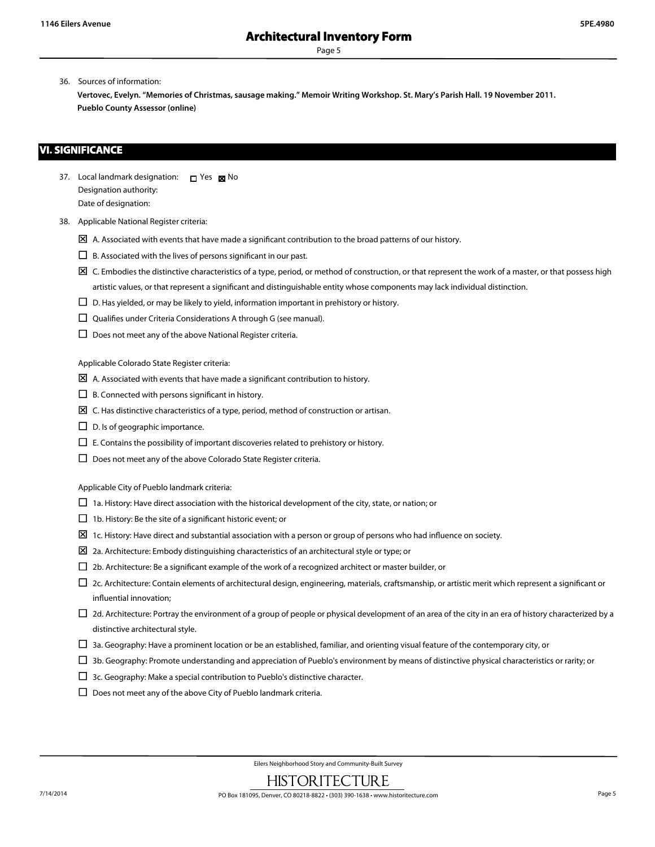36. Sources of information:

**Vertovec, Evelyn. "Memories of Christmas, sausage making." Memoir Writing Workshop. St. Mary's Parish Hall. 19 November 2011. Pueblo County Assessor (online)**

#### **VI. SIGNIFICANCE**

- 37. Local landmark designation:  $\Box$  Yes  $\boxtimes$  No Designation authority: Date of designation:
- 38. Applicable National Register criteria:
	- $\boxtimes$  A. Associated with events that have made a significant contribution to the broad patterns of our history.
	- $\Box$  B. Associated with the lives of persons significant in our past.
	- $\boxtimes$  C. Embodies the distinctive characteristics of a type, period, or method of construction, or that represent the work of a master, or that possess high artistic values, or that represent a significant and distinguishable entity whose components may lack individual distinction.
	- $\square$  D. Has yielded, or may be likely to yield, information important in prehistory or history.
	- $\square$  Qualifies under Criteria Considerations A through G (see manual).
	- $\square$  Does not meet any of the above National Register criteria.

Applicable Colorado State Register criteria:

- $\boxtimes$  A. Associated with events that have made a significant contribution to history.
- $\square$  B. Connected with persons significant in history.
- $\boxtimes$  C. Has distinctive characteristics of a type, period, method of construction or artisan.
- $\square$  D. Is of geographic importance.
- $\square$  E. Contains the possibility of important discoveries related to prehistory or history.
- $\square$  Does not meet any of the above Colorado State Register criteria.

Applicable City of Pueblo landmark criteria:

- $\Box$  1a. History: Have direct association with the historical development of the city, state, or nation; or
- $\Box$  1b. History: Be the site of a significant historic event; or
- $\Sigma$  1c. History: Have direct and substantial association with a person or group of persons who had influence on society.
- $\boxtimes$  2a. Architecture: Embody distinguishing characteristics of an architectural style or type; or
- $\Box$  2b. Architecture: Be a significant example of the work of a recognized architect or master builder, or
- $\Box$  2c. Architecture: Contain elements of architectural design, engineering, materials, craftsmanship, or artistic merit which represent a significant or influential innovation;
- $\Box$  2d. Architecture: Portray the environment of a group of people or physical development of an area of the city in an era of history characterized by a distinctive architectural style.
- $\Box$  3a. Geography: Have a prominent location or be an established, familiar, and orienting visual feature of the contemporary city, or
- $\Box$  3b. Geography: Promote understanding and appreciation of Pueblo's environment by means of distinctive physical characteristics or rarity; or
- $\square$  3c. Geography: Make a special contribution to Pueblo's distinctive character.
- $\square$  Does not meet any of the above City of Pueblo landmark criteria.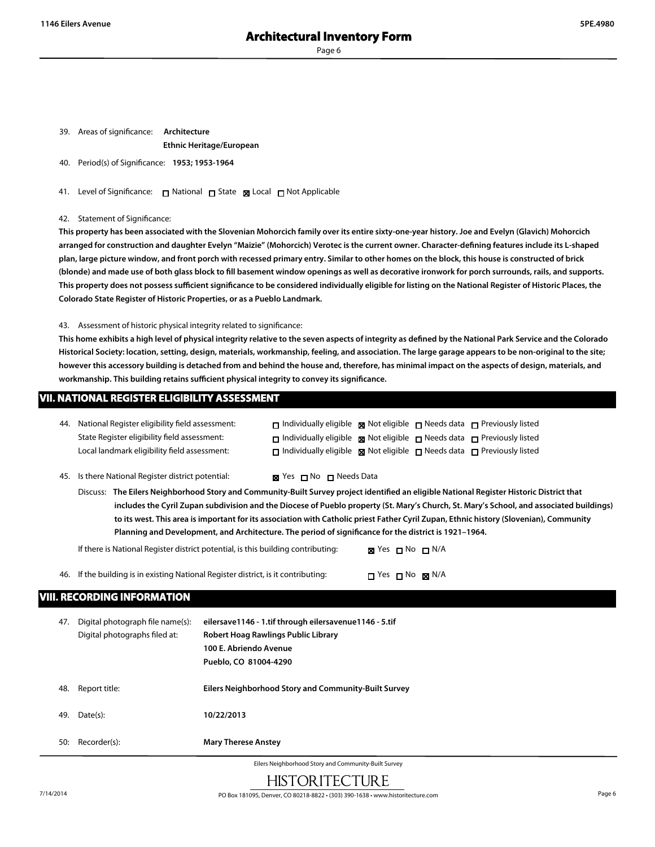39. Areas of significance: **Architecture**

#### **Ethnic Heritage/European**

40. Period(s) of Significance: **1953; 1953-1964**

41. Level of Significance: □ National □ State ■ Local □ Not Applicable

42. Statement of Significance:

**This property has been associated with the Slovenian Mohorcich family over its entire sixty-one-year history. Joe and Evelyn (Glavich) Mohorcich arranged for construction and daughter Evelyn "Maizie" (Mohorcich) Verotec is the current owner. Character-defining features include its L-shaped plan, large picture window, and front porch with recessed primary entry. Similar to other homes on the block, this house is constructed of brick (blonde) and made use of both glass block to fill basement window openings as well as decorative ironwork for porch surrounds, rails, and supports. This property does not possess sufficient significance to be considered individually eligible for listing on the National Register of Historic Places, the Colorado State Register of Historic Properties, or as a Pueblo Landmark.**

43. Assessment of historic physical integrity related to significance:

**This home exhibits a high level of physical integrity relative to the seven aspects of integrity as defined by the National Park Service and the Colorado Historical Society: location, setting, design, materials, workmanship, feeling, and association. The large garage appears to be non-original to the site; however this accessory building is detached from and behind the house and, therefore, has minimal impact on the aspects of design, materials, and workmanship. This building retains sufficient physical integrity to convey its significance.**

#### **VII. NATIONAL REGISTER ELIGIBILITY ASSESSMENT**

| 44. | National Register eligibility field assessment:<br>State Register eligibility field assessment:<br>Local landmark eligibility field assessment:                                                                                                                                                                                                                                                                                                                                                                                                                                                                                                                                                                                                                      | $\Box$ Individually eligible $\Box$ Not eligible $\Box$ Needs data $\Box$ Previously listed<br>$\Box$ Individually eligible $\Box$ Not eligible $\Box$ Needs data $\Box$ Previously listed<br>$\Box$ Individually eligible $\Box$ Not eligible $\Box$ Needs data $\Box$ Previously listed |  |  |  |
|-----|----------------------------------------------------------------------------------------------------------------------------------------------------------------------------------------------------------------------------------------------------------------------------------------------------------------------------------------------------------------------------------------------------------------------------------------------------------------------------------------------------------------------------------------------------------------------------------------------------------------------------------------------------------------------------------------------------------------------------------------------------------------------|-------------------------------------------------------------------------------------------------------------------------------------------------------------------------------------------------------------------------------------------------------------------------------------------|--|--|--|
| 45. | Is there National Register district potential:<br><b>IS</b> Yes <b>I</b> No <b>I</b> Needs Data<br>Discuss: The Eilers Neighborhood Story and Community-Built Survey project identified an eligible National Register Historic District that<br>includes the Cyril Zupan subdivision and the Diocese of Pueblo property (St. Mary's Church, St. Mary's School, and associated buildings)<br>to its west. This area is important for its association with Catholic priest Father Cyril Zupan, Ethnic history (Slovenian), Community<br>Planning and Development, and Architecture. The period of significance for the district is 1921-1964.<br>If there is National Register district potential, is this building contributing:<br><b>⊠</b> Yes $\Box$ No $\Box$ N/A |                                                                                                                                                                                                                                                                                           |  |  |  |
| 46. | <b>VIII. RECORDING INFORMATION</b>                                                                                                                                                                                                                                                                                                                                                                                                                                                                                                                                                                                                                                                                                                                                   | If the building is in existing National Register district, is it contributing:<br>$\Box$ Yes $\Box$ No $\boxtimes$ N/A                                                                                                                                                                    |  |  |  |
| 47. | Digital photograph file name(s):<br>Digital photographs filed at:                                                                                                                                                                                                                                                                                                                                                                                                                                                                                                                                                                                                                                                                                                    | eilersave1146 - 1.tif through eilersavenue1146 - 5.tif<br>Robert Hoag Rawlings Public Library<br>100 E. Abriendo Avenue<br>Pueblo, CO 81004-4290                                                                                                                                          |  |  |  |
| 48. | Report title:                                                                                                                                                                                                                                                                                                                                                                                                                                                                                                                                                                                                                                                                                                                                                        | Eilers Neighborhood Story and Community-Built Survey                                                                                                                                                                                                                                      |  |  |  |
| 49. | Date(s):                                                                                                                                                                                                                                                                                                                                                                                                                                                                                                                                                                                                                                                                                                                                                             | 10/22/2013                                                                                                                                                                                                                                                                                |  |  |  |

50: Recorder(s): **Mary Therese Anstey**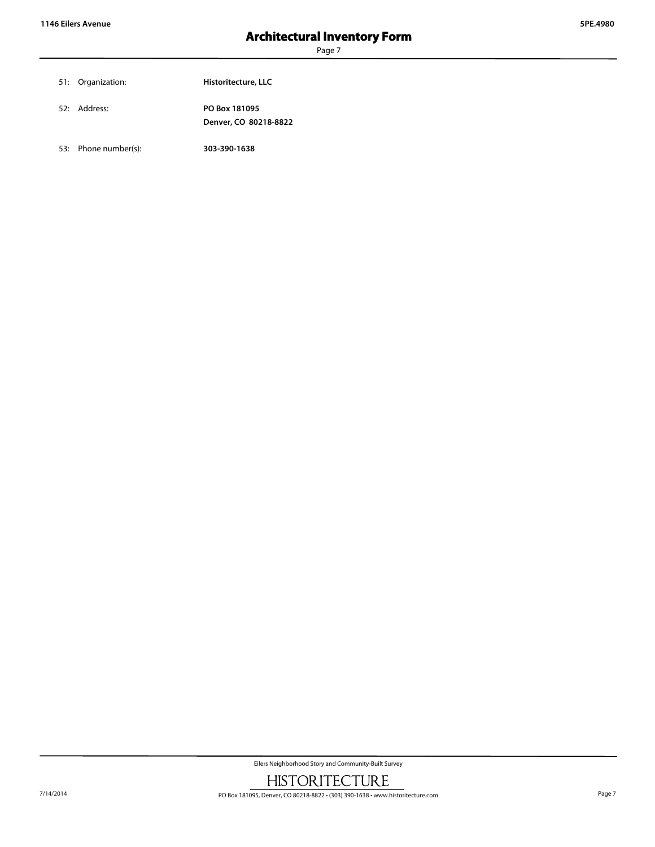| 51: Organization: | Historitecture, LLC                    |
|-------------------|----------------------------------------|
| 52: Address:      | PO Box 181095<br>Denver, CO 80218-8822 |

53: Phone number(s): **303-390-1638**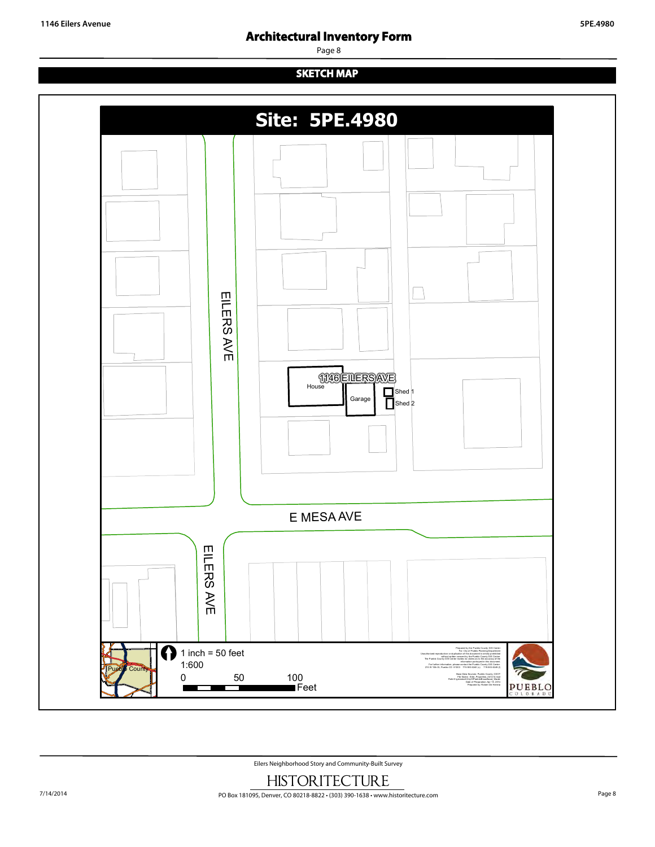# **Architectural Inventory Form**

Page 8

# **SKETCH MAP**